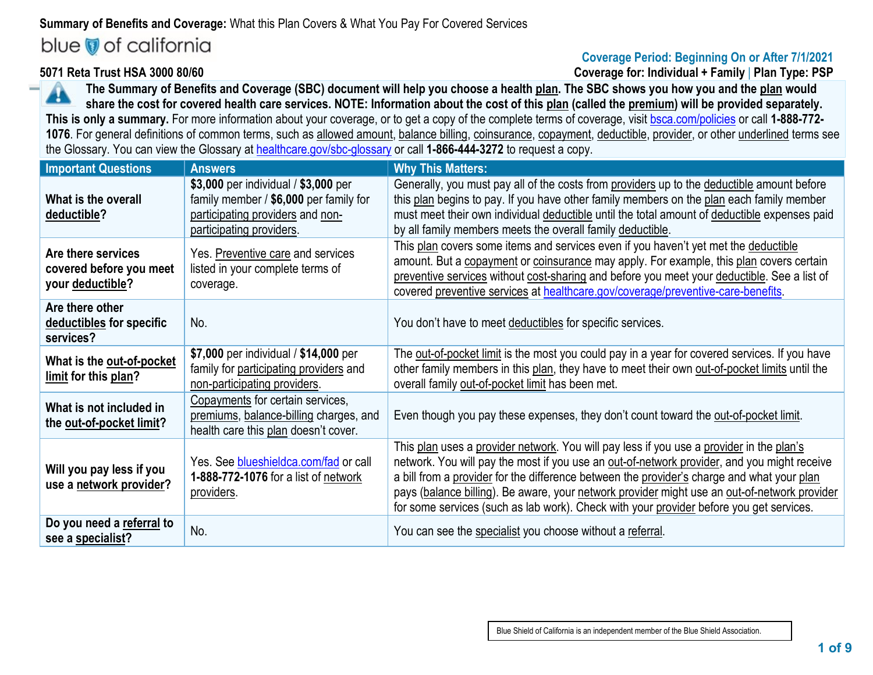# **Summary of Benefits and Coverage:** What this Plan Covers & What You Pay For Covered Services blue of california

# **Coverage Period: Beginning On or After 7/1/2021**

**5071 Reta Trust HSA 3000 80/60 Coverage for: Individual + Family** | **Plan Type: PSP**

**The Summary of Benefits and Coverage (SBC) document will help you choose a health plan. The SBC shows you how you and the plan would**  ч **share the cost for covered health care services. NOTE: Information about the cost of this plan (called the premium) will be provided separately. This is only a summary.** For more information about your coverage, or to get a copy of the complete terms of coverage, visit [bsca.com/policies](http://bsca.com/policies) or call **1-888-772- 1076**. For general definitions of common terms, such as allowed amount, balance billing, coinsurance, copayment, deductible, provider, or other underlined terms see the Glossary. You can view the Glossary a[t healthcare.gov/sbc-glossary](http://www.healthcare.gov/sbc-glossary) or call **1-866-444-3272** to request a copy.

| <b>Important Questions</b>                                        | <b>Answers</b>                                                                                                                                 | <b>Why This Matters:</b>                                                                                                                                                                                                                                                                                                                                                                                                                                                         |
|-------------------------------------------------------------------|------------------------------------------------------------------------------------------------------------------------------------------------|----------------------------------------------------------------------------------------------------------------------------------------------------------------------------------------------------------------------------------------------------------------------------------------------------------------------------------------------------------------------------------------------------------------------------------------------------------------------------------|
| What is the overall<br>deductible?                                | \$3,000 per individual / \$3,000 per<br>family member / \$6,000 per family for<br>participating providers and non-<br>participating providers. | Generally, you must pay all of the costs from providers up to the deductible amount before<br>this plan begins to pay. If you have other family members on the plan each family member<br>must meet their own individual deductible until the total amount of deductible expenses paid<br>by all family members meets the overall family deductible.                                                                                                                             |
| Are there services<br>covered before you meet<br>your deductible? | Yes. Preventive care and services<br>listed in your complete terms of<br>coverage.                                                             | This plan covers some items and services even if you haven't yet met the deductible<br>amount. But a copayment or coinsurance may apply. For example, this plan covers certain<br>preventive services without cost-sharing and before you meet your deductible. See a list of<br>covered preventive services at healthcare.gov/coverage/preventive-care-benefits.                                                                                                                |
| Are there other<br>deductibles for specific<br>services?          | No.                                                                                                                                            | You don't have to meet deductibles for specific services.                                                                                                                                                                                                                                                                                                                                                                                                                        |
| What is the out-of-pocket<br>limit for this plan?                 | \$7,000 per individual / \$14,000 per<br>family for participating providers and<br>non-participating providers.                                | The out-of-pocket limit is the most you could pay in a year for covered services. If you have<br>other family members in this plan, they have to meet their own out-of-pocket limits until the<br>overall family out-of-pocket limit has been met.                                                                                                                                                                                                                               |
| What is not included in<br>the out-of-pocket limit?               | Copayments for certain services,<br>premiums, balance-billing charges, and<br>health care this plan doesn't cover.                             | Even though you pay these expenses, they don't count toward the out-of-pocket limit.                                                                                                                                                                                                                                                                                                                                                                                             |
| Will you pay less if you<br>use a network provider?               | Yes. See blueshieldca.com/fad or call<br>1-888-772-1076 for a list of network<br>providers.                                                    | This plan uses a provider network. You will pay less if you use a provider in the plan's<br>network. You will pay the most if you use an out-of-network provider, and you might receive<br>a bill from a provider for the difference between the provider's charge and what your plan<br>pays (balance billing). Be aware, your network provider might use an out-of-network provider<br>for some services (such as lab work). Check with your provider before you get services. |
| Do you need a referral to<br>see a specialist?                    | No.                                                                                                                                            | You can see the specialist you choose without a referral.                                                                                                                                                                                                                                                                                                                                                                                                                        |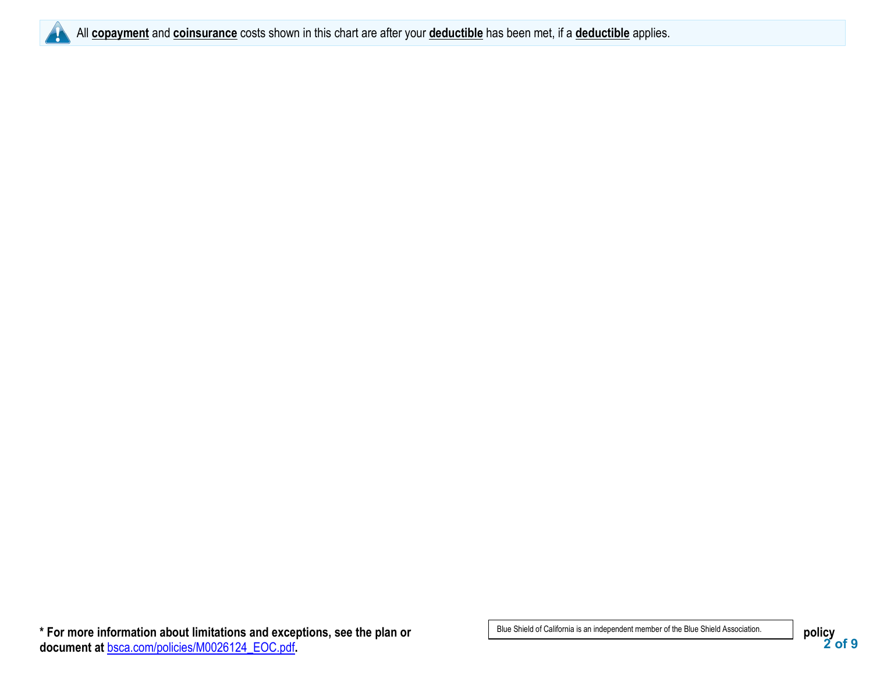

All **copayment** and **coinsurance** costs shown in this chart are after your **deductible** has been met, if a **deductible** applies.

**<sup>2</sup> of 9 \* For more information about limitations and exceptions, see the plan or policy document at** [bsca.com/policies/M0026124\\_EOC.pdf](http://www.bsca.com/policies/M0026124_EOC.pdf)**.**

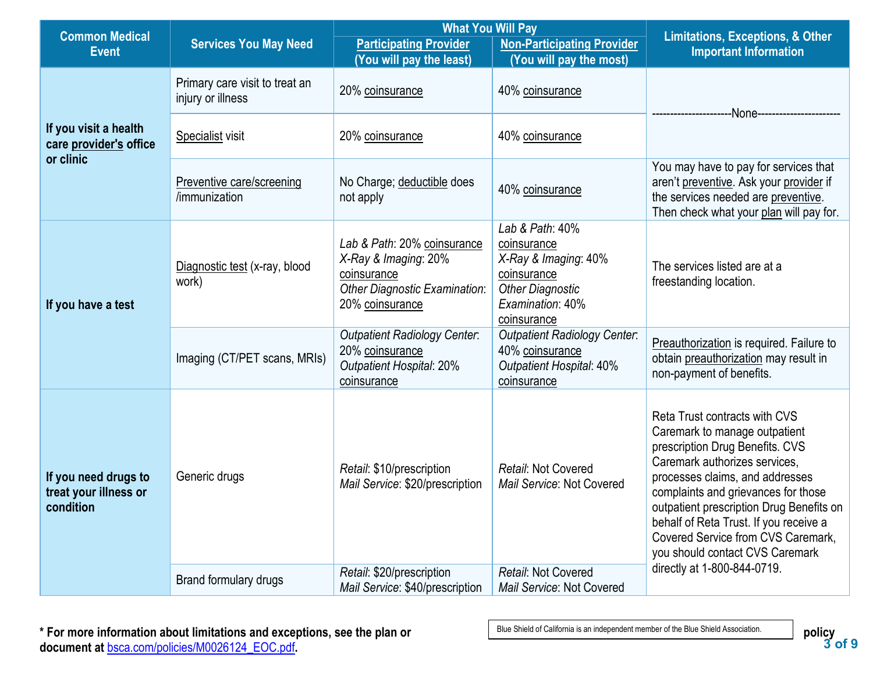| <b>Common Medical</b>                                        |                                                     | <b>What You Will Pay</b>                                                                                                      | <b>Limitations, Exceptions, &amp; Other</b>                                                                                         |                                                                                                                                                                                                                                                                                                                                                                             |
|--------------------------------------------------------------|-----------------------------------------------------|-------------------------------------------------------------------------------------------------------------------------------|-------------------------------------------------------------------------------------------------------------------------------------|-----------------------------------------------------------------------------------------------------------------------------------------------------------------------------------------------------------------------------------------------------------------------------------------------------------------------------------------------------------------------------|
| <b>Event</b>                                                 | <b>Services You May Need</b>                        | <b>Participating Provider</b>                                                                                                 | <b>Non-Participating Provider</b>                                                                                                   | <b>Important Information</b>                                                                                                                                                                                                                                                                                                                                                |
|                                                              |                                                     | (You will pay the least)                                                                                                      | (You will pay the most)                                                                                                             |                                                                                                                                                                                                                                                                                                                                                                             |
|                                                              | Primary care visit to treat an<br>injury or illness | 20% coinsurance                                                                                                               | 40% coinsurance                                                                                                                     |                                                                                                                                                                                                                                                                                                                                                                             |
| If you visit a health<br>care provider's office<br>or clinic | Specialist visit                                    | 20% coinsurance                                                                                                               | 40% coinsurance                                                                                                                     |                                                                                                                                                                                                                                                                                                                                                                             |
|                                                              | Preventive care/screening<br>/immunization          | No Charge; deductible does<br>not apply                                                                                       | 40% coinsurance                                                                                                                     | You may have to pay for services that<br>aren't preventive. Ask your provider if<br>the services needed are preventive.<br>Then check what your plan will pay for.                                                                                                                                                                                                          |
| If you have a test                                           | Diagnostic test (x-ray, blood<br>work)              | Lab & Path: 20% coinsurance<br>X-Ray & Imaging: 20%<br>coinsurance<br><b>Other Diagnostic Examination:</b><br>20% coinsurance | Lab & Path: 40%<br>coinsurance<br>X-Ray & Imaging: 40%<br>coinsurance<br><b>Other Diagnostic</b><br>Examination: 40%<br>coinsurance | The services listed are at a<br>freestanding location.                                                                                                                                                                                                                                                                                                                      |
|                                                              | Imaging (CT/PET scans, MRIs)                        | <b>Outpatient Radiology Center.</b><br>20% coinsurance<br><b>Outpatient Hospital: 20%</b><br>coinsurance                      | <b>Outpatient Radiology Center.</b><br>40% coinsurance<br><b>Outpatient Hospital: 40%</b><br>coinsurance                            | Preauthorization is required. Failure to<br>obtain preauthorization may result in<br>non-payment of benefits.                                                                                                                                                                                                                                                               |
| If you need drugs to<br>treat your illness or<br>condition   | Generic drugs                                       | Retail: \$10/prescription<br>Mail Service: \$20/prescription                                                                  | Retail: Not Covered<br>Mail Service: Not Covered                                                                                    | Reta Trust contracts with CVS<br>Caremark to manage outpatient<br>prescription Drug Benefits. CVS<br>Caremark authorizes services,<br>processes claims, and addresses<br>complaints and grievances for those<br>outpatient prescription Drug Benefits on<br>behalf of Reta Trust. If you receive a<br>Covered Service from CVS Caremark,<br>you should contact CVS Caremark |
|                                                              | Brand formulary drugs                               | Retail: \$20/prescription<br>Mail Service: \$40/prescription                                                                  | Retail: Not Covered<br>Mail Service: Not Covered                                                                                    | directly at 1-800-844-0719.                                                                                                                                                                                                                                                                                                                                                 |

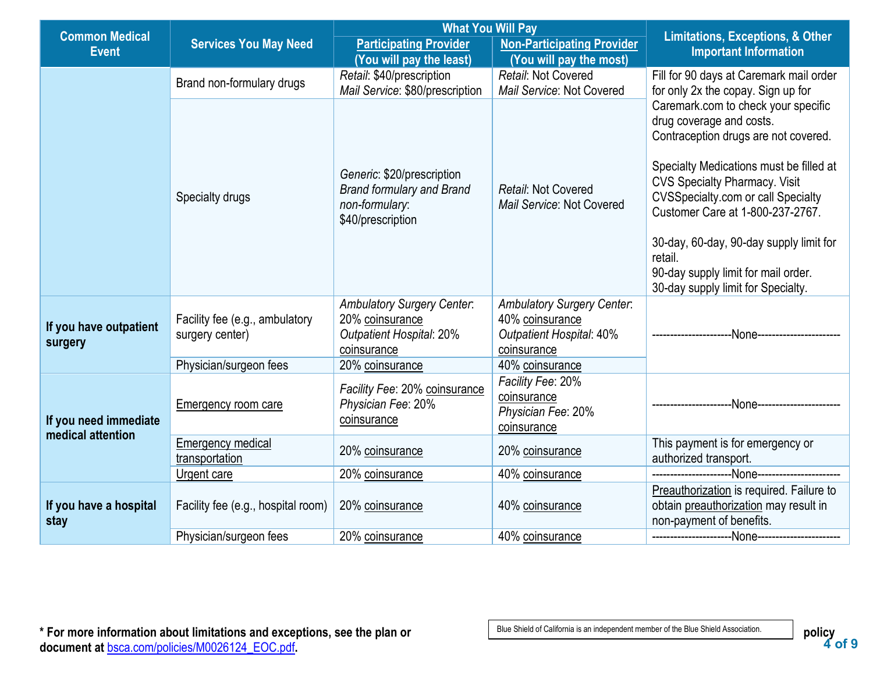| <b>Common Medical</b>                      |                                                   | <b>What You Will Pay</b>                                                                               |                                                                                                        | <b>Limitations, Exceptions, &amp; Other</b>                                                                                                                                                                                             |  |
|--------------------------------------------|---------------------------------------------------|--------------------------------------------------------------------------------------------------------|--------------------------------------------------------------------------------------------------------|-----------------------------------------------------------------------------------------------------------------------------------------------------------------------------------------------------------------------------------------|--|
| <b>Event</b>                               | <b>Services You May Need</b>                      | <b>Participating Provider</b>                                                                          | <b>Non-Participating Provider</b>                                                                      | <b>Important Information</b>                                                                                                                                                                                                            |  |
|                                            |                                                   | (You will pay the least)                                                                               | (You will pay the most)                                                                                |                                                                                                                                                                                                                                         |  |
|                                            | Brand non-formulary drugs                         | Retail: \$40/prescription<br>Mail Service: \$80/prescription                                           | Retail: Not Covered<br>Mail Service: Not Covered                                                       | Fill for 90 days at Caremark mail order<br>for only 2x the copay. Sign up for                                                                                                                                                           |  |
|                                            | Specialty drugs                                   | Generic: \$20/prescription<br><b>Brand formulary and Brand</b>                                         | Retail: Not Covered                                                                                    | Caremark.com to check your specific<br>drug coverage and costs.<br>Contraception drugs are not covered.<br>Specialty Medications must be filled at<br><b>CVS Specialty Pharmacy. Visit</b><br><b>CVSSpecialty.com or call Specialty</b> |  |
|                                            |                                                   | non-formulary:<br>\$40/prescription                                                                    | Mail Service: Not Covered                                                                              | Customer Care at 1-800-237-2767.                                                                                                                                                                                                        |  |
|                                            |                                                   |                                                                                                        |                                                                                                        | 30-day, 60-day, 90-day supply limit for<br>retail.                                                                                                                                                                                      |  |
|                                            |                                                   |                                                                                                        |                                                                                                        | 90-day supply limit for mail order.<br>30-day supply limit for Specialty.                                                                                                                                                               |  |
| If you have outpatient<br>surgery          | Facility fee (e.g., ambulatory<br>surgery center) | <b>Ambulatory Surgery Center.</b><br>20% coinsurance<br><b>Outpatient Hospital: 20%</b><br>coinsurance | <b>Ambulatory Surgery Center.</b><br>40% coinsurance<br><b>Outpatient Hospital: 40%</b><br>coinsurance |                                                                                                                                                                                                                                         |  |
|                                            | Physician/surgeon fees                            | 20% coinsurance                                                                                        | 40% coinsurance                                                                                        |                                                                                                                                                                                                                                         |  |
| If you need immediate<br>medical attention | <b>Emergency room care</b>                        | Facility Fee: 20% coinsurance<br>Physician Fee: 20%<br>coinsurance                                     | Facility Fee: 20%<br>coinsurance<br>Physician Fee: 20%<br>coinsurance                                  | -None--------------------                                                                                                                                                                                                               |  |
|                                            | <b>Emergency medical</b><br>transportation        | 20% coinsurance                                                                                        | 20% coinsurance                                                                                        | This payment is for emergency or<br>authorized transport.                                                                                                                                                                               |  |
|                                            | Urgent care                                       | 20% coinsurance                                                                                        | 40% coinsurance                                                                                        |                                                                                                                                                                                                                                         |  |
| If you have a hospital<br>stay             | Facility fee (e.g., hospital room)                | 20% coinsurance                                                                                        |                                                                                                        | Preauthorization is required. Failure to<br>obtain preauthorization may result in<br>non-payment of benefits.                                                                                                                           |  |
|                                            | Physician/surgeon fees                            | 20% coinsurance                                                                                        | 40% coinsurance                                                                                        |                                                                                                                                                                                                                                         |  |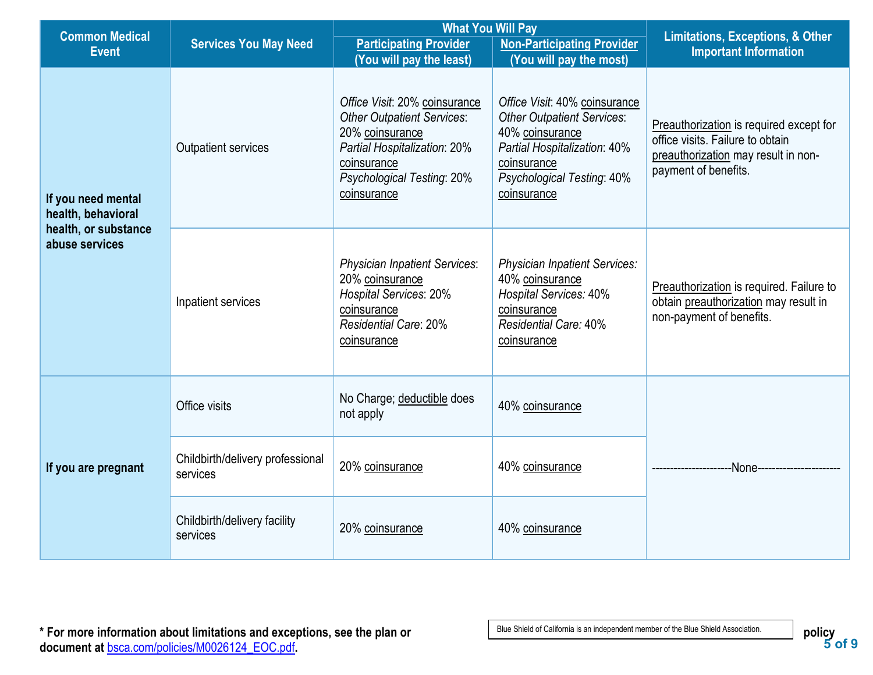|                                                                       |                                              | <b>What You Will Pay</b>                                                                                                                                                          |                                                                                                                                                                                   | <b>Limitations, Exceptions, &amp; Other</b><br><b>Important Information</b>                                                                |  |
|-----------------------------------------------------------------------|----------------------------------------------|-----------------------------------------------------------------------------------------------------------------------------------------------------------------------------------|-----------------------------------------------------------------------------------------------------------------------------------------------------------------------------------|--------------------------------------------------------------------------------------------------------------------------------------------|--|
| <b>Common Medical</b><br><b>Services You May Need</b><br><b>Event</b> |                                              | <b>Participating Provider</b>                                                                                                                                                     | <b>Non-Participating Provider</b>                                                                                                                                                 |                                                                                                                                            |  |
|                                                                       |                                              | (You will pay the least)                                                                                                                                                          | (You will pay the most)                                                                                                                                                           |                                                                                                                                            |  |
| If you need mental<br>health, behavioral                              | Outpatient services                          | Office Visit: 20% coinsurance<br><b>Other Outpatient Services:</b><br>20% coinsurance<br>Partial Hospitalization: 20%<br>coinsurance<br>Psychological Testing: 20%<br>coinsurance | Office Visit: 40% coinsurance<br><b>Other Outpatient Services:</b><br>40% coinsurance<br>Partial Hospitalization: 40%<br>coinsurance<br>Psychological Testing: 40%<br>coinsurance | Preauthorization is required except for<br>office visits. Failure to obtain<br>preauthorization may result in non-<br>payment of benefits. |  |
| health, or substance<br>abuse services                                | Inpatient services                           | <b>Physician Inpatient Services:</b><br>20% coinsurance<br><b>Hospital Services: 20%</b><br>coinsurance<br><b>Residential Care: 20%</b><br>coinsurance                            | <b>Physician Inpatient Services:</b><br>40% coinsurance<br>Hospital Services: 40%<br>coinsurance<br><b>Residential Care: 40%</b><br>coinsurance                                   | Preauthorization is required. Failure to<br>obtain preauthorization may result in<br>non-payment of benefits.                              |  |
|                                                                       | Office visits                                | No Charge; deductible does<br>not apply                                                                                                                                           | 40% coinsurance                                                                                                                                                                   |                                                                                                                                            |  |
| If you are pregnant                                                   | Childbirth/delivery professional<br>services | 20% coinsurance                                                                                                                                                                   | 40% coinsurance                                                                                                                                                                   | -None-                                                                                                                                     |  |
|                                                                       | Childbirth/delivery facility<br>services     | 20% coinsurance                                                                                                                                                                   | 40% coinsurance                                                                                                                                                                   |                                                                                                                                            |  |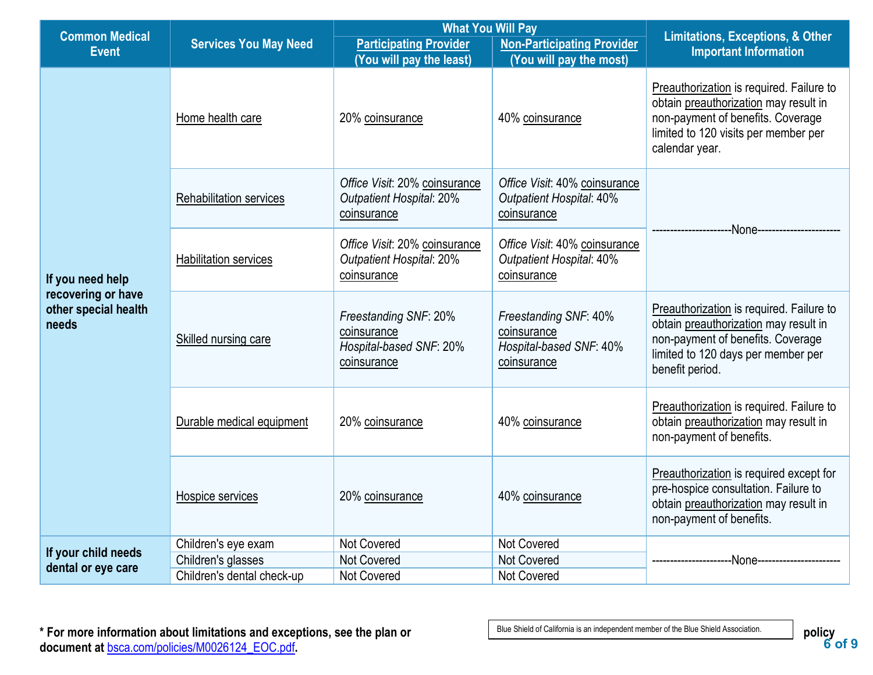| <b>Common Medical</b>                                                   |                                | <b>What You Will Pay</b>                                                        |                                                                                 | <b>Limitations, Exceptions, &amp; Other</b>                                                                                                                                      |  |
|-------------------------------------------------------------------------|--------------------------------|---------------------------------------------------------------------------------|---------------------------------------------------------------------------------|----------------------------------------------------------------------------------------------------------------------------------------------------------------------------------|--|
| <b>Event</b>                                                            | <b>Services You May Need</b>   | <b>Participating Provider</b>                                                   | <b>Non-Participating Provider</b>                                               | <b>Important Information</b>                                                                                                                                                     |  |
|                                                                         |                                | (You will pay the least)                                                        | (You will pay the most)                                                         |                                                                                                                                                                                  |  |
|                                                                         | Home health care               | 20% coinsurance                                                                 | 40% coinsurance                                                                 | Preauthorization is required. Failure to<br>obtain preauthorization may result in<br>non-payment of benefits. Coverage<br>limited to 120 visits per member per<br>calendar year. |  |
|                                                                         | <b>Rehabilitation services</b> | Office Visit: 20% coinsurance<br><b>Outpatient Hospital: 20%</b><br>coinsurance | Office Visit: 40% coinsurance<br><b>Outpatient Hospital: 40%</b><br>coinsurance | -None-----------------                                                                                                                                                           |  |
| If you need help<br>recovering or have<br>other special health<br>needs | <b>Habilitation services</b>   | Office Visit: 20% coinsurance<br><b>Outpatient Hospital: 20%</b><br>coinsurance | Office Visit: 40% coinsurance<br><b>Outpatient Hospital: 40%</b><br>coinsurance |                                                                                                                                                                                  |  |
|                                                                         | Skilled nursing care           | Freestanding SNF: 20%<br>coinsurance<br>Hospital-based SNF: 20%<br>coinsurance  | Freestanding SNF: 40%<br>coinsurance<br>Hospital-based SNF: 40%<br>coinsurance  | Preauthorization is required. Failure to<br>obtain preauthorization may result in<br>non-payment of benefits. Coverage<br>limited to 120 days per member per<br>benefit period.  |  |
|                                                                         | Durable medical equipment      | 20% coinsurance                                                                 | 40% coinsurance                                                                 | Preauthorization is required. Failure to<br>obtain preauthorization may result in<br>non-payment of benefits.                                                                    |  |
|                                                                         | Hospice services               | 20% coinsurance                                                                 | 40% coinsurance                                                                 | Preauthorization is required except for<br>pre-hospice consultation. Failure to<br>obtain preauthorization may result in<br>non-payment of benefits.                             |  |
| If your child needs                                                     | Children's eye exam            | Not Covered                                                                     | Not Covered                                                                     |                                                                                                                                                                                  |  |
| dental or eye care                                                      | Children's glasses             | Not Covered                                                                     | Not Covered                                                                     |                                                                                                                                                                                  |  |
|                                                                         | Children's dental check-up     | Not Covered                                                                     | <b>Not Covered</b>                                                              |                                                                                                                                                                                  |  |

**<sup>6</sup> of 9 \* For more information about limitations and exceptions, see the plan or policy document at** [bsca.com/policies/M0026124\\_EOC.pdf](http://www.bsca.com/policies/M0026124_EOC.pdf)**.**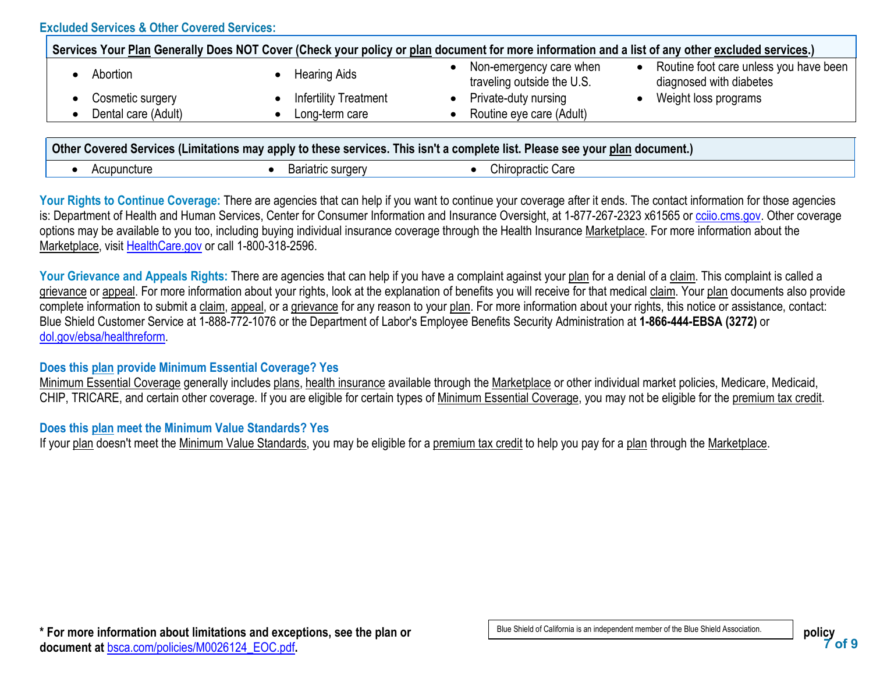#### **Excluded Services & Other Covered Services:**

| Services Your Plan Generally Does NOT Cover (Check your policy or plan document for more information and a list of any other excluded services.) |                              |                                                       |                                                                                |  |  |  |
|--------------------------------------------------------------------------------------------------------------------------------------------------|------------------------------|-------------------------------------------------------|--------------------------------------------------------------------------------|--|--|--|
| Abortion                                                                                                                                         | <b>Hearing Aids</b>          | Non-emergency care when<br>traveling outside the U.S. | Routine foot care unless you have been<br>$\bullet$<br>diagnosed with diabetes |  |  |  |
| Cosmetic surgery                                                                                                                                 | <b>Infertility Treatment</b> | Private-duty nursing                                  | Weight loss programs                                                           |  |  |  |
| Dental care (Adult)                                                                                                                              | Long-term care               | Routine eye care (Adult)                              |                                                                                |  |  |  |
|                                                                                                                                                  |                              |                                                       |                                                                                |  |  |  |
| Other Covered Services (Limitations may apply to these services. This isn't a complete list. Please see your plan document.)                     |                              |                                                       |                                                                                |  |  |  |

| .cture.<br>$\cdot$<br>~יש<br>the contract of the contract of the | ~<br>ு<br>$\cdot$<br>$\ddot{\phantom{1}}$ | ำเ<br>'חר<br>hır<br>Jair |
|------------------------------------------------------------------|-------------------------------------------|--------------------------|

Your Rights to Continue Coverage: There are agencies that can help if you want to continue your coverage after it ends. The contact information for those agencies is: Department of Health and Human Services, Center for Consumer Information and Insurance Oversight, at 1-877-267-2323 x61565 or [cciio.cms.gov.](http://cciio.cms.gov/) Other coverage options may be available to you too, including buying individual insurance coverage through the Health Insurance Marketplace. For more information about the Marketplace, visit [HealthCare.gov](http://healthcare.gov/) or call 1-800-318-2596.

Your Grievance and Appeals Rights: There are agencies that can help if you have a complaint against your plan for a denial of a claim. This complaint is called a grievance or appeal. For more information about your rights, look at the explanation of benefits you will receive for that medical claim. Your plan documents also provide complete information to submit a claim, appeal, or a grievance for any reason to your plan. For more information about your rights, this notice or assistance, contact: Blue Shield Customer Service at 1-888-772-1076 or the Department of Labor's Employee Benefits Security Administration at **1-866-444-EBSA (3272)** or [dol.gov/ebsa/healthreform.](https://www.dol.gov/agencies/ebsa/laws-and-regulations/laws/affordable-care-act/)

#### **Does this plan provide Minimum Essential Coverage? Yes**

Minimum Essential Coverage generally includes plans, health insurance available through the Marketplace or other individual market policies, Medicare, Medicaid, CHIP, TRICARE, and certain other coverage. If you are eligible for certain types of Minimum Essential Coverage, you may not be eligible for the premium tax credit.

# **Does this plan meet the Minimum Value Standards? Yes**

If your plan doesn't meet the Minimum Value Standards, you may be eligible for a premium tax credit to help you pay for a plan through the Marketplace.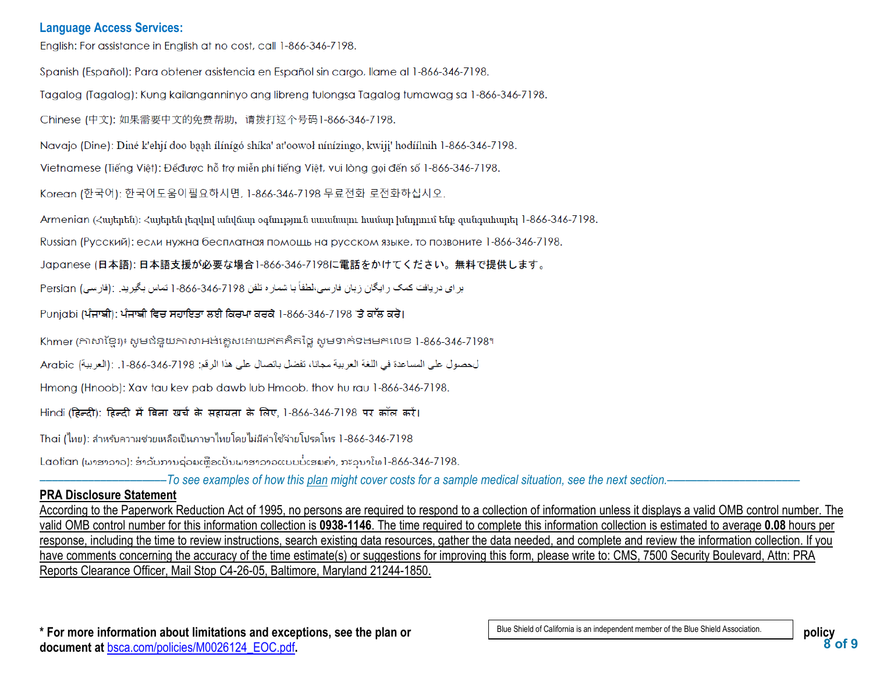#### **Language Access Services:**

English: For assistance in English at no cost, call 1-866-346-7198.

Spanish (Español): Para obtener asistencia en Español sin cargo, llame al 1-866-346-7198.

Tagalog (Tagalog): Kung kailanganninyo ang libreng tulongsa Tagalog tumawag sa 1-866-346-7198.

Chinese (中文): 如果需要中文的免费帮助, 请拨打这个号码1-866-346-7198.

Navajo (Dine): Diné k'ehjí doo baah ílínígó shíka' at'oowoł nínízingo, kwiji' hodíílnih 1-866-346-7198.

Vietnamese (Tiếng Việt): Đểđược hỗ trợ miễn phí tiếng Việt, vui lòng gọi đến số 1-866-346-7198.

Korean (한국어): 한국어도움이필요하시면, 1-866-346-7198 무료전화 로전화하십시오.

Armenian (Հայերեն)։ Հայերեն լեզվով անվճար օգնություն սաանայու համար խնդրում ենք զանգահարել 1-866-346-7198.

Russian (Русский): если нужна бесплатная помощь на русском языке, то позвоните 1-866-346-7198.

Japanese (日本語): 日本語支援が必要な場合1-866-346-7198に電話をかけてください。無料で提供します。

براي دريافت كمك رايگان زبان فارسي،لطفاً با شماره تلفن 7198-346-866-1 تماس بگيريد. :(فارسي) Persian

Punjabi (ਪੰਜਾਬੀ): ਪੰਜਾਬੀ ਵਿਚ ਸਹਾਇਤਾ ਲਈ ਕਿਰਪਾ ਕਰਕੇ 1-866-346-7198 'ਤੇ ਕਾੱਲ ਕਰੋ।

Khmer (ភាសាខ្មែរ)៖ សូមជំនួយភាសាអង់គ្លេសដោយឥតគិតថ្លៃ សូមទាក់ទងមកលេខ 1-866-346-7198។

لحصول على المساعدة في اللغة العربية مجانا، تفضل باتصال على هذا الرقم: 7198-866-346. [ [العربية] Arabic

Hmong (Hnoob): Xav tau key pab dawb lub Hmoob, thov hu rau 1-866-346-7198.

Hindi (हिन्दी): हिन्दी में बिना खर्च के सहायता के लिए, 1-866-346-7198 पर कॉल करें।

Thai (ไทย): สำหรับความช่วยเหลือเป็นภาษาไทยโดยไม่มีค่าใช้จ่ายโปรดโทร 1-866-346-7198

Laotian (ພາສາລາວ): ສໍາລັບການຊ່ວຍເຫຼືອເປັນພາສາລາວແບບບໍ່ເສຍຄ່າ, ກະລຸນາໂທ1-866-346-7198.

–––––––––––––––––––––*To see examples of how this plan might cover costs for a sample medical situation, see the next section.–––––––––––*–––––––––––

#### **PRA Disclosure Statement**

According to the Paperwork Reduction Act of 1995, no persons are required to respond to a collection of information unless it displays a valid OMB control number. The valid OMB control number for this information collection is **0938-1146**. The time required to complete this information collection is estimated to average **0.08** hours per response, including the time to review instructions, search existing data resources, gather the data needed, and complete and review the information collection. If you have comments concerning the accuracy of the time estimate(s) or suggestions for improving this form, please write to: CMS, 7500 Security Boulevard, Attn: PRA Reports Clearance Officer, Mail Stop C4-26-05, Baltimore, Maryland 21244-1850.